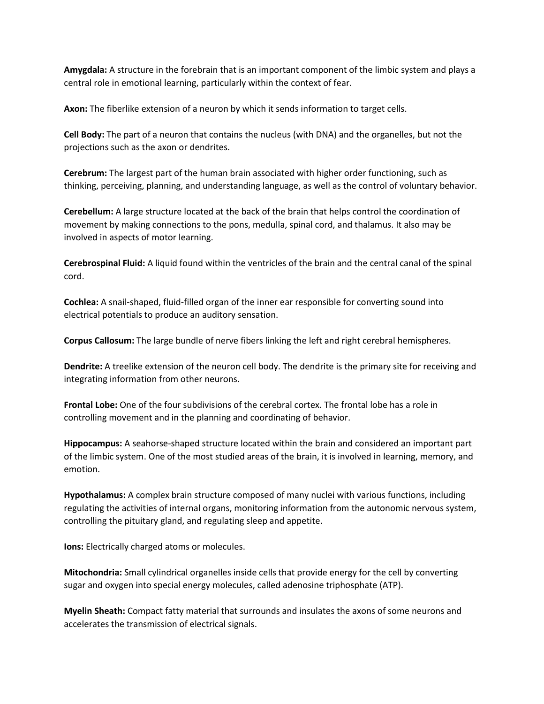**Amygdala:** A structure in the forebrain that is an important component of the limbic system and plays a central role in emotional learning, particularly within the context of fear.

**Axon:** The fiberlike extension of a neuron by which it sends information to target cells.

**Cell Body:** The part of a neuron that contains the nucleus (with DNA) and the organelles, but not the projections such as the axon or dendrites.

**Cerebrum:** The largest part of the human brain associated with higher order functioning, such as thinking, perceiving, planning, and understanding language, as well as the control of voluntary behavior.

**Cerebellum:** A large structure located at the back of the brain that helps control the coordination of movement by making connections to the pons, medulla, spinal cord, and thalamus. It also may be involved in aspects of motor learning.

**Cerebrospinal Fluid:** A liquid found within the ventricles of the brain and the central canal of the spinal cord.

**Cochlea:** A snail-shaped, fluid-filled organ of the inner ear responsible for converting sound into electrical potentials to produce an auditory sensation.

**Corpus Callosum:** The large bundle of nerve fibers linking the left and right cerebral hemispheres.

**Dendrite:** A treelike extension of the neuron cell body. The dendrite is the primary site for receiving and integrating information from other neurons.

**Frontal Lobe:** One of the four subdivisions of the cerebral cortex. The frontal lobe has a role in controlling movement and in the planning and coordinating of behavior.

**Hippocampus:** A seahorse-shaped structure located within the brain and considered an important part of the limbic system. One of the most studied areas of the brain, it is involved in learning, memory, and emotion.

**Hypothalamus:** A complex brain structure composed of many nuclei with various functions, including regulating the activities of internal organs, monitoring information from the autonomic nervous system, controlling the pituitary gland, and regulating sleep and appetite.

**Ions:** Electrically charged atoms or molecules.

**Mitochondria:** Small cylindrical organelles inside cells that provide energy for the cell by converting sugar and oxygen into special energy molecules, called adenosine triphosphate (ATP).

**Myelin Sheath:** Compact fatty material that surrounds and insulates the axons of some neurons and accelerates the transmission of electrical signals.